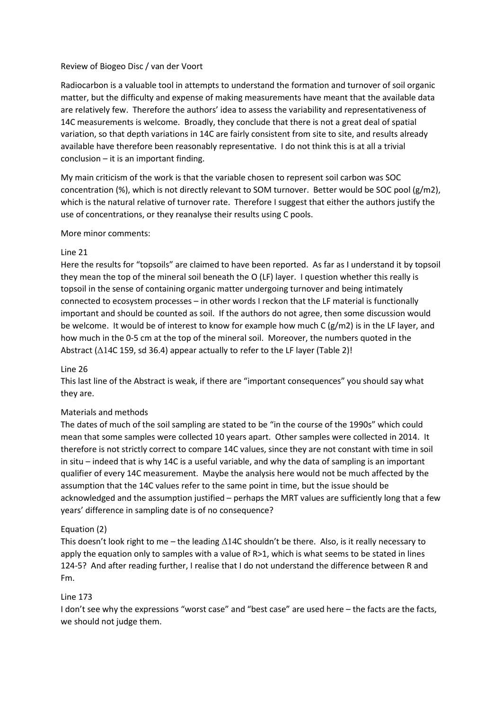## Review of Biogeo Disc / van der Voort

Radiocarbon is a valuable tool in attempts to understand the formation and turnover of soil organic matter, but the difficulty and expense of making measurements have meant that the available data are relatively few. Therefore the authors' idea to assess the variability and representativeness of 14C measurements is welcome. Broadly, they conclude that there is not a great deal of spatial variation, so that depth variations in 14C are fairly consistent from site to site, and results already available have therefore been reasonably representative. I do not think this is at all a trivial conclusion – it is an important finding.

My main criticism of the work is that the variable chosen to represent soil carbon was SOC concentration (%), which is not directly relevant to SOM turnover. Better would be SOC pool (g/m2), which is the natural relative of turnover rate. Therefore I suggest that either the authors justify the use of concentrations, or they reanalyse their results using C pools.

## More minor comments:

## Line 21

Here the results for "topsoils" are claimed to have been reported. As far as I understand it by topsoil they mean the top of the mineral soil beneath the O (LF) layer. I question whether this really is topsoil in the sense of containing organic matter undergoing turnover and being intimately connected to ecosystem processes – in other words I reckon that the LF material is functionally important and should be counted as soil. If the authors do not agree, then some discussion would be welcome. It would be of interest to know for example how much C (g/m2) is in the LF layer, and how much in the 0-5 cm at the top of the mineral soil. Moreover, the numbers quoted in the Abstract (Δ14C 159, sd 36.4) appear actually to refer to the LF layer (Table 2)!

### Line 26

This last line of the Abstract is weak, if there are "important consequences" you should say what they are.

# Materials and methods

The dates of much of the soil sampling are stated to be "in the course of the 1990s" which could mean that some samples were collected 10 years apart. Other samples were collected in 2014. It therefore is not strictly correct to compare 14C values, since they are not constant with time in soil in situ – indeed that is why 14C is a useful variable, and why the data of sampling is an important qualifier of every 14C measurement. Maybe the analysis here would not be much affected by the assumption that the 14C values refer to the same point in time, but the issue should be acknowledged and the assumption justified – perhaps the MRT values are sufficiently long that a few years' difference in sampling date is of no consequence?

# Equation (2)

This doesn't look right to me – the leading Δ14C shouldn't be there. Also, is it really necessary to apply the equation only to samples with a value of R>1, which is what seems to be stated in lines 124-5? And after reading further, I realise that I do not understand the difference between R and Fm.

### Line 173

I don't see why the expressions "worst case" and "best case" are used here – the facts are the facts, we should not judge them.